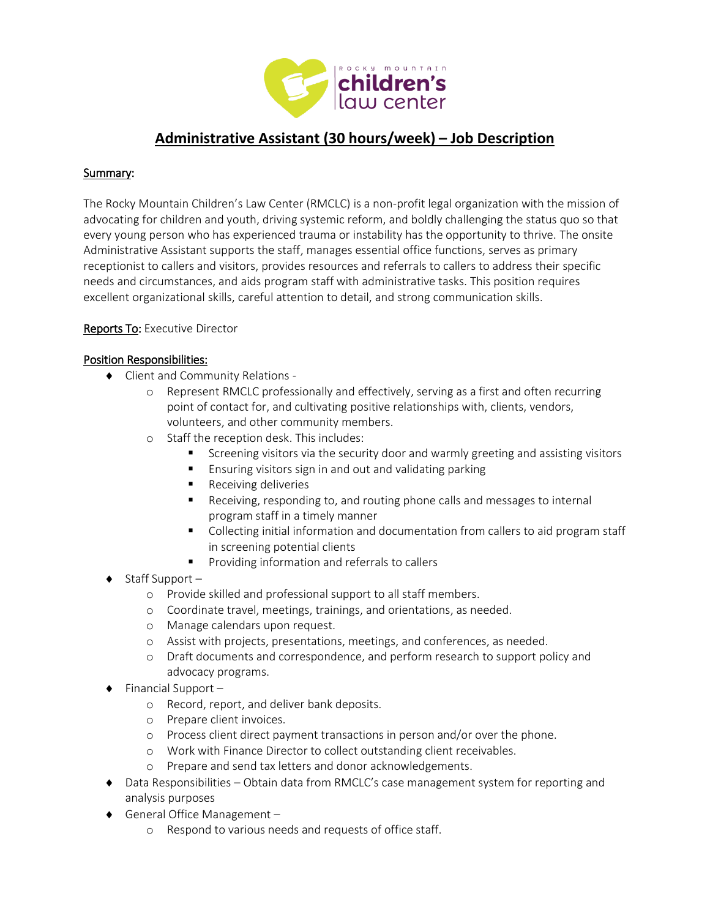

# **Administrative Assistant (30 hours/week) – Job Description**

### Summary:

The Rocky Mountain Children's Law Center (RMCLC) is a non-profit legal organization with the mission of advocating for children and youth, driving systemic reform, and boldly challenging the status quo so that every young person who has experienced trauma or instability has the opportunity to thrive. The onsite Administrative Assistant supports the staff, manages essential office functions, serves as primary receptionist to callers and visitors, provides resources and referrals to callers to address their specific needs and circumstances, and aids program staff with administrative tasks. This position requires excellent organizational skills, careful attention to detail, and strong communication skills.

### Reports To: Executive Director

### Position Responsibilities:

- Client and Community Relations
	- o Represent RMCLC professionally and effectively, serving as a first and often recurring point of contact for, and cultivating positive relationships with, clients, vendors, volunteers, and other community members.
	- o Staff the reception desk. This includes:
		- **Screening visitors via the security door and warmly greeting and assisting visitors**
		- **Ensuring visitors sign in and out and validating parking**
		- **Receiving deliveries**
		- Receiving, responding to, and routing phone calls and messages to internal program staff in a timely manner
		- Collecting initial information and documentation from callers to aid program staff in screening potential clients
		- **Providing information and referrals to callers**
- $\bullet$  Staff Support
	- o Provide skilled and professional support to all staff members.
	- o Coordinate travel, meetings, trainings, and orientations, as needed.
	- o Manage calendars upon request.
	- o Assist with projects, presentations, meetings, and conferences, as needed.
	- o Draft documents and correspondence, and perform research to support policy and advocacy programs.
- $\bullet$  Financial Support
	- o Record, report, and deliver bank deposits.
	- o Prepare client invoices.
	- o Process client direct payment transactions in person and/or over the phone.
	- o Work with Finance Director to collect outstanding client receivables.
	- o Prepare and send tax letters and donor acknowledgements.
- Data Responsibilities Obtain data from RMCLC's case management system for reporting and analysis purposes
- ◆ General Office Management
	- o Respond to various needs and requests of office staff.